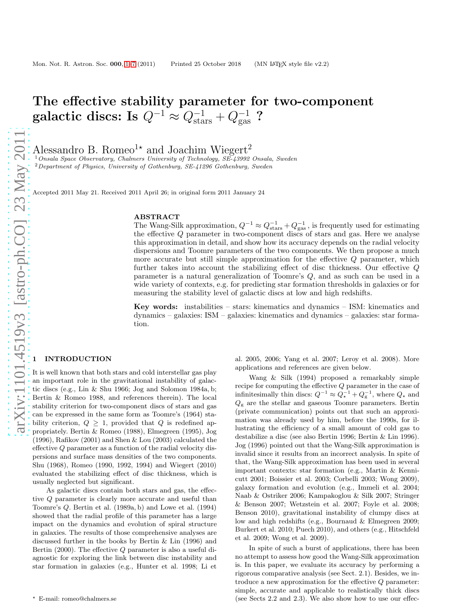# The effective stability parameter for two-component galactic discs: Is  $Q^{-1} \approx Q^{-1}_{\rm stars} + Q^{-1}_{\rm gas}$  ?

Alessandro B. Romeo<sup>1\*</sup> and Joachim Wiegert<sup>2</sup>

<sup>1</sup> Onsala Space Observatory, Chalmers University of Technology, SE-43992 Onsala, Sweden <sup>2</sup> Department of Physics, University of Gothenburg, SE-41296 Gothenburg, Sweden

Accepted 2011 May 21. Received 2011 April 26; in original form 2011 January 24

#### ABSTRACT

The Wang-Silk approximation,  $Q^{-1} \approx Q_{\text{stars}}^{-1} + Q_{\text{gas}}^{-1}$ , is frequently used for estimating the effective  $Q$  parameter in two-component discs of stars and gas. Here we analyse this approximation in detail, and show how its accuracy depends on the radial velocity dispersions and Toomre parameters of the two components. We then propose a much more accurate but still simple approximation for the effective Q parameter, which further takes into account the stabilizing effect of disc thickness. Our effective Q parameter is a natural generalization of Toomre's Q, and as such can be used in a wide variety of contexts, e.g. for predicting star formation thresholds in galaxies or for measuring the stability level of galactic discs at low and high redshifts.

Key words: instabilities – stars: kinematics and dynamics – ISM: kinematics and dynamics – galaxies: ISM – galaxies: kinematics and dynamics – galaxies: star formation.

# **INTRODUCTION**

It is well known that both stars and cold interstellar gas play an important role in the gravitational instability of galactic discs (e.g., Lin & Shu 1966; Jog and Solomon 1984a, b; Bertin & Romeo 1988, and references therein). The local stability criterion for two-component discs of stars and gas can be expressed in the same form as Toomre's (1964) stability criterion,  $Q \geq 1$ , provided that Q is redefined appropriately. Bertin & Romeo (1988), Elmegreen (1995), Jog (1996), Rafikov (2001) and Shen & Lou (2003) calculated the effective Q parameter as a function of the radial velocity dispersions and surface mass densities of the two components. Shu (1968), Romeo (1990, 1992, 1994) and Wiegert (2010) evaluated the stabilizing effect of disc thickness, which is usually neglected but significant.

As galactic discs contain both stars and gas, the effective Q parameter is clearly more accurate and useful than Toomre's Q. Bertin et al. (1989a, b) and Lowe et al. (1994) showed that the radial profile of this parameter has a large impact on the dynamics and evolution of spiral structure in galaxies. The results of those comprehensive analyses are discussed further in the books by Bertin & Lin (1996) and Bertin  $(2000)$ . The effective Q parameter is also a useful diagnostic for exploring the link between disc instability and star formation in galaxies (e.g., Hunter et al. 1998; Li et

al. 2005, 2006; Yang et al. 2007; Leroy et al. 2008). More applications and references are given below.

Wang & Silk (1994) proposed a remarkably simple recipe for computing the effective Q parameter in the case of infinitesimally thin discs:  $Q^{-1} \approx Q_{\star}^{-1} + Q_{\rm g}^{-1}$ , where  $Q_{\star}$  and  $Q<sub>g</sub>$  are the stellar and gaseous Toomre parameters. Bertin (private communication) points out that such an approximation was already used by him, before the 1990s, for illustrating the efficiency of a small amount of cold gas to destabilize a disc (see also Bertin 1996; Bertin & Lin 1996). Jog (1996) pointed out that the Wang-Silk approximation is invalid since it results from an incorrect analysis. In spite of that, the Wang-Silk approximation has been used in several important contexts: star formation (e.g., Martin & Kennicutt 2001; Boissier et al. 2003; Corbelli 2003; Wong 2009), galaxy formation and evolution (e.g., Immeli et al. 2004; Naab & Ostriker 2006; Kampakoglou & Silk 2007; Stringer & Benson 2007; Wetzstein et al. 2007; Foyle et al. 2008; Benson 2010), gravitational instability of clumpy discs at low and high redshifts (e.g., Bournaud & Elmegreen 2009; Burkert et al. 2010; Puech 2010), and others (e.g., Hitschfeld et al. 2009; Wong et al. 2009).

In spite of such a burst of applications, there has been no attempt to assess how good the Wang-Silk approximation is. In this paper, we evaluate its accuracy by performing a rigorous comparative analysis (see Sect. 2.1). Besides, we introduce a new approximation for the effective Q parameter: simple, accurate and applicable to realistically thick discs (see Sects 2.2 and 2.3). We also show how to use our effec-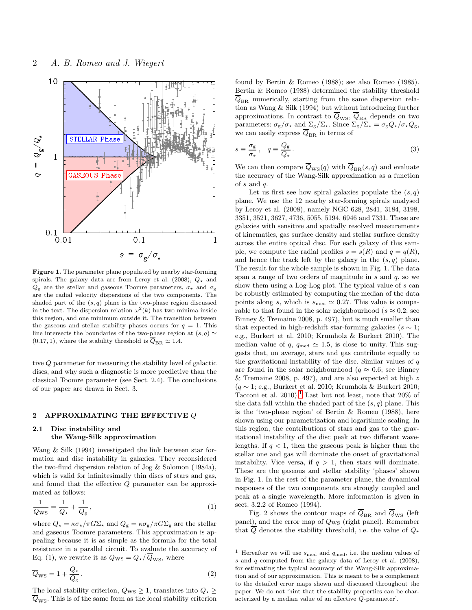

Figure 1. The parameter plane populated by nearby star-forming spirals. The galaxy data are from Leroy et al. (2008),  $Q_{\star}$  and  $Q_{\rm g}$  are the stellar and gaseous Toomre parameters,  $\sigma_{\rm \star}$  and  $\sigma_{\rm g}$ are the radial velocity dispersions of the two components. The shaded part of the  $(s, q)$  plane is the two-phase region discussed in the text. The dispersion relation  $\omega^2(k)$  has two minima inside this region, and one minimum outside it. The transition between the gaseous and stellar stability phases occurs for  $q = 1$ . This line intersects the boundaries of the two-phase region at  $(s,q)\simeq$ (0.17, 1), where the stability threshold is  $\overline{Q}_{\text{BR}} \simeq 1.4$ .

tive Q parameter for measuring the stability level of galactic discs, and why such a diagnostic is more predictive than the classical Toomre parameter (see Sect. 2.4). The conclusions of our paper are drawn in Sect. 3.

# 2 APPROXIMATING THE EFFECTIVE  $Q$

# 2.1 Disc instability and the Wang-Silk approximation

Wang & Silk (1994) investigated the link between star formation and disc instability in galaxies. They reconsidered the two-fluid dispersion relation of Jog & Solomon (1984a), which is valid for infinitesimally thin discs of stars and gas, and found that the effective Q parameter can be approximated as follows:

$$
\frac{1}{Q_{\rm WS}} = \frac{1}{Q_{\star}} + \frac{1}{Q_{\rm g}},\tag{1}
$$

where  $Q_{\star} = \kappa \sigma_{\star} / \pi G \Sigma_{\star}$  and  $Q_{g} = \kappa \sigma_{g} / \pi G \Sigma_{g}$  are the stellar and gaseous Toomre parameters. This approximation is appealing because it is as simple as the formula for the total resistance in a parallel circuit. To evaluate the accuracy of Eq. (1), we rewrite it as  $Q_{\text{WS}} = Q_{\star}/\overline{Q}_{\text{WS}}$ , where

$$
\overline{Q}_{\rm WS} = 1 + \frac{Q_{\star}}{Q_{\rm g}}.
$$
\n<sup>(2)</sup>

The local stability criterion,  $Q_{\text{WS}} \geq 1$ , translates into  $Q_{\star} \geq$  $\overline{Q}_{\text{WS}}$ . This is of the same form as the local stability criterion found by Bertin & Romeo (1988); see also Romeo (1985). Bertin & Romeo (1988) determined the stability threshold  $Q_{\text{BR}}$  numerically, starting from the same dispersion relation as Wang & Silk (1994) but without introducing further approximations. In contrast to  $Q_{\rm WS},\,Q_{\rm BR}$  depends on two parameters:  $\sigma_{\rm g}/\sigma_{\star}$  and  $\Sigma_{\rm g}/\Sigma_{\star}$ . Since  $\Sigma_{\rm g}/\Sigma_{\star} = \sigma_{\rm g} Q_{\star}/\sigma_{\star} Q_{\rm g}$ , we can easily express  $\overline{Q}_{\text{BR}}$  in terms of

$$
s \equiv \frac{\sigma_{\rm g}}{\sigma_{\star}}, \quad q \equiv \frac{Q_{\rm g}}{Q_{\star}}.
$$
 (3)

We can then compare  $\overline{Q}_{\text{WS}}(q)$  with  $\overline{Q}_{\text{BR}}(s, q)$  and evaluate the accuracy of the Wang-Silk approximation as a function of s and q.

Let us first see how spiral galaxies populate the  $(s, q)$ plane. We use the 12 nearby star-forming spirals analysed by Leroy et al. (2008), namely NGC 628, 2841, 3184, 3198, 3351, 3521, 3627, 4736, 5055, 5194, 6946 and 7331. These are galaxies with sensitive and spatially resolved measurements of kinematics, gas surface density and stellar surface density across the entire optical disc. For each galaxy of this sample, we compute the radial profiles  $s = s(R)$  and  $q = q(R)$ , and hence the track left by the galaxy in the  $(s, q)$  plane. The result for the whole sample is shown in Fig. 1. The data span a range of two orders of magnitude in  $s$  and  $q$ , so we show them using a Log-Log plot. The typical value of s can be robustly estimated by computing the median of the data points along s, which is  $s_{\text{med}} \simeq 0.27$ . This value is comparable to that found in the solar neighbourhood ( $s \approx 0.2$ ; see Binney & Tremaine 2008, p. 497), but is much smaller than that expected in high-redshift star-forming galaxies ( $s \sim 1$ ; e.g., Burkert et al. 2010; Krumholz & Burkert 2010). The median value of q,  $q_{\text{med}} \simeq 1.5$ , is close to unity. This suggests that, on average, stars and gas contribute equally to the gravitational instability of the disc. Similar values of  $q$ are found in the solar neighbourhood ( $q \approx 0.6$ ; see Binney & Tremaine 2008, p. 497), and are also expected at high  $z$  $(q \sim 1; e.g.,$  Burkert et al. 2010; Krumholz & Burkert 2010; Tacconi et al.  $2010$  $2010$  $2010$ .<sup>1</sup> Last but not least, note that  $20\%$  of the data fall within the shaded part of the  $(s, q)$  plane. This is the 'two-phase region' of Bertin & Romeo (1988), here shown using our parametrization and logarithmic scaling. In this region, the contributions of stars and gas to the gravitational instability of the disc peak at two different wavelengths. If  $q < 1$ , then the gaseous peak is higher than the stellar one and gas will dominate the onset of gravitational instability. Vice versa, if  $q > 1$ , then stars will dominate. These are the gaseous and stellar stability 'phases' shown in Fig. 1. In the rest of the parameter plane, the dynamical responses of the two components are strongly coupled and peak at a single wavelength. More information is given in sect. 3.2.2 of Romeo (1994).

Fig. 2 shows the contour maps of  $\overline{Q}_{\text{BR}}$  and  $\overline{Q}_{\text{WS}}$  (left panel), and the error map of  $Q_{\text{WS}}$  (right panel). Remember that Q denotes the stability threshold, i.e. the value of  $Q_{\star}$ 

<span id="page-1-0"></span> $^1$  Hereafter we will use  $s_{\rm med}$  and  $q_{\rm med},$  i.e. the median values of s and q computed from the galaxy data of Leroy et al. (2008), for estimating the typical accuracy of the Wang-Silk approximation and of our approximation. This is meant to be a complement to the detailed error maps shown and discussed throughout the paper. We do not 'hint that the stability properties can be characterized by a median value of an effective Q-parameter'.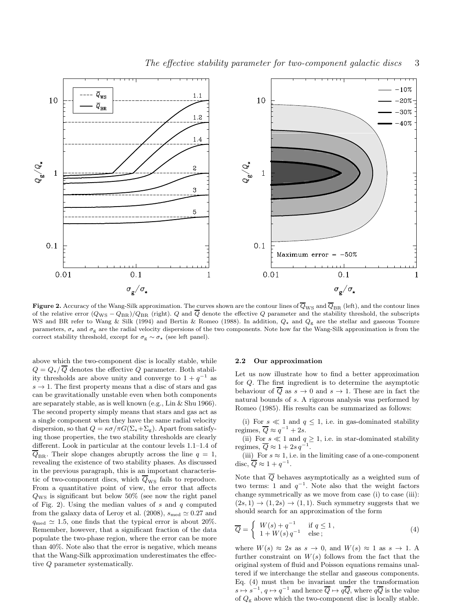

**Figure 2.** Accuracy of the Wang-Silk approximation. The curves shown are the contour lines of  $\overline{Q}_{WS}$  and  $\overline{Q}_{BR}$  (left), and the contour lines of the relative error  $(Q_{\rm WS} - Q_{\rm BR})/Q_{\rm BR}$  (right). Q and  $\overline{Q}$  denote the effective Q parameter and the stability threshold, the subscripts WS and BR refer to Wang & Silk (1994) and Bertin & Romeo (1988). In addition,  $Q_{\star}$  and  $Q_{\rm g}$  are the stellar and gaseous Toomre parameters,  $\sigma_{\star}$  and  $\sigma_{g}$  are the radial velocity dispersions of the two components. Note how far the Wang-Silk approximation is from the correct stability threshold, except for  $\sigma_{\rm g} \sim \sigma_{\star}$  (see left panel).

above which the two-component disc is locally stable, while  $Q = Q_{\star}/\overline{Q}$  denotes the effective Q parameter. Both stability thresholds are above unity and converge to  $1 + q^{-1}$  as  $s \to 1$ . The first property means that a disc of stars and gas can be gravitationally unstable even when both components are separately stable, as is well known (e.g., Lin & Shu 1966). The second property simply means that stars and gas act as a single component when they have the same radial velocity dispersion, so that  $Q = \kappa \sigma / \pi G(\Sigma_{\star} + \Sigma_{\rm g})$ . Apart from satisfying those properties, the two stability thresholds are clearly different. Look in particular at the contour levels 1.1–1.4 of  $\overline{Q}_{\text{BR}}$ . Their slope changes abruptly across the line  $q = 1$ , revealing the existence of two stability phases. As discussed in the previous paragraph, this is an important characteristic of two-component discs, which  $\overline{Q}_{\text{WS}}$  fails to reproduce. From a quantitative point of view, the error that affects  $Q_{\text{WS}}$  is significant but below 50% (see now the right panel of Fig. 2). Using the median values of  $s$  and  $q$  computed from the galaxy data of Leroy et al. (2008),  $s_{\text{med}} \approx 0.27$  and  $q_{\text{med}} \simeq 1.5$ , one finds that the typical error is about 20%. Remember, however, that a significant fraction of the data populate the two-phase region, where the error can be more than 40%. Note also that the error is negative, which means that the Wang-Silk approximation underestimates the effective Q parameter systematically.

### 2.2 Our approximation

Let us now illustrate how to find a better approximation for Q. The first ingredient is to determine the asymptotic behaviour of  $\overline{Q}$  as  $s \to 0$  and  $s \to 1$ . These are in fact the natural bounds of s. A rigorous analysis was performed by Romeo (1985). His results can be summarized as follows:

(i) For  $s \ll 1$  and  $q \leq 1$ , i.e. in gas-dominated stability regimes,  $\overline{Q} \approx q^{-1} + 2s$ .

(ii) For  $s \ll 1$  and  $q \geq 1$ , i.e. in star-dominated stability regimes,  $\overline{Q} \approx 1 + 2s q^{-1}$ .

(iii) For  $s \approx 1$ , i.e. in the limiting case of a one-component disc,  $\overline{Q} \approx 1 + q^{-1}$ .

Note that  $\overline{Q}$  behaves asymptotically as a weighted sum of two terms: 1 and  $q^{-1}$ . Note also that the weight factors change symmetrically as we move from case (i) to case (iii):  $(2s, 1) \rightarrow (1, 2s) \rightarrow (1, 1)$ . Such symmetry suggests that we should search for an approximation of the form

$$
\overline{Q} = \begin{cases} W(s) + q^{-1} & \text{if } q \le 1, \\ 1 + W(s)q^{-1} & \text{else}; \end{cases}
$$
\n(4)

where  $W(s) \approx 2s$  as  $s \to 0$ , and  $W(s) \approx 1$  as  $s \to 1$ . A further constraint on  $W(s)$  follows from the fact that the original system of fluid and Poisson equations remains unaltered if we interchange the stellar and gaseous components. Eq. (4) must then be invariant under the transformation  $s \mapsto s^{-1}, q \mapsto q^{-1}$  and hence  $\overline{Q} \mapsto q \overline{Q}$ , where  $q \overline{Q}$  is the value of  $Q_{\rm g}$  above which the two-component disc is locally stable.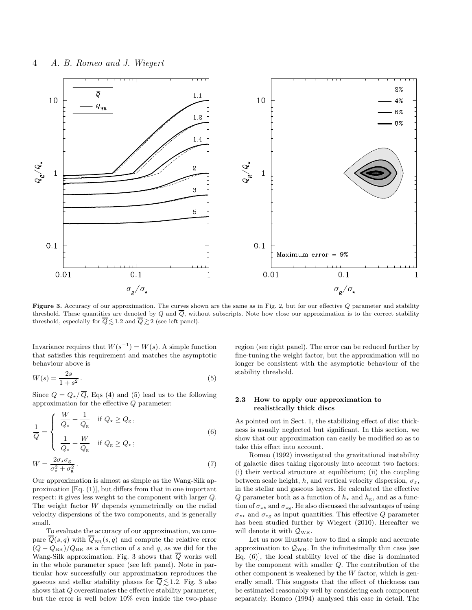

Figure 3. Accuracy of our approximation. The curves shown are the same as in Fig. 2, but for our effective Q parameter and stability threshold. These quantities are denoted by  $Q$  and  $\overline{Q}$ , without subscripts. Note how close our approximation is to the correct stability threshold, especially for  $\overline{Q} \lesssim 1.2$  and  $\overline{Q} \gtrsim 2$  (see left panel).

Invariance requires that  $W(s^{-1}) = W(s)$ . A simple function that satisfies this requirement and matches the asymptotic behaviour above is

$$
W(s) = \frac{2s}{1+s^2} \,. \tag{5}
$$

Since  $Q = Q_{\star}/\overline{Q}$ , Eqs (4) and (5) lead us to the following approximation for the effective Q parameter:

$$
\frac{1}{Q} = \begin{cases} \n\frac{W}{Q_{\star}} + \frac{1}{Q_{\rm g}} & \text{if } Q_{\star} \ge Q_{\rm g}, \\
\frac{1}{Q_{\star}} + \frac{W}{Q_{\rm g}} & \text{if } Q_{\rm g} \ge Q_{\star}; \n\end{cases} \tag{6}
$$

$$
W = \frac{2\sigma_{\star}\sigma_{\rm g}}{\sigma_{\star}^2 + \sigma_{\rm g}^2}.
$$
\n<sup>(7)</sup>

Our approximation is almost as simple as the Wang-Silk approximation [Eq. (1)], but differs from that in one important respect: it gives less weight to the component with larger Q. The weight factor W depends symmetrically on the radial velocity dispersions of the two components, and is generally small.

To evaluate the accuracy of our approximation, we compare  $\overline{Q}(s, q)$  with  $\overline{Q}_{BR}(s, q)$  and compute the relative error  $(Q - Q_{BR})/Q_{BR}$  as a function of s and q, as we did for the Wang-Silk approximation. Fig. 3 shows that  $\overline{Q}$  works well in the whole parameter space (see left panel). Note in particular how successfully our approximation reproduces the gaseous and stellar stability phases for  $\overline{Q} \leq 1.2$ . Fig. 3 also shows that Q overestimates the effective stability parameter, but the error is well below 10% even inside the two-phase

region (see right panel). The error can be reduced further by fine-tuning the weight factor, but the approximation will no longer be consistent with the asymptotic behaviour of the stability threshold.

# 2.3 How to apply our approximation to realistically thick discs

As pointed out in Sect. 1, the stabilizing effect of disc thickness is usually neglected but significant. In this section, we show that our approximation can easily be modified so as to take this effect into account.

Romeo (1992) investigated the gravitational instability of galactic discs taking rigorously into account two factors: (i) their vertical structure at equilibrium; (ii) the coupling between scale height, h, and vertical velocity dispersion,  $\sigma_z$ , in the stellar and gaseous layers. He calculated the effective Q parameter both as a function of  $h_{\star}$  and  $h_{\rm g}$ , and as a function of  $\sigma_{z\star}$  and  $\sigma_{z\star}$ . He also discussed the advantages of using  $\sigma_{z\star}$  and  $\sigma_{z\text{g}}$  as input quantities. This effective Q parameter has been studied further by Wiegert (2010). Hereafter we will denote it with  $Q_{\text{WR}}$ .

Let us now illustrate how to find a simple and accurate approximation to  $\mathcal{Q}_{WR}$ . In the infinitesimally thin case [see Eq. (6)], the local stability level of the disc is dominated by the component with smaller Q. The contribution of the other component is weakened by the  $W$  factor, which is generally small. This suggests that the effect of thickness can be estimated reasonably well by considering each component separately. Romeo (1994) analysed this case in detail. The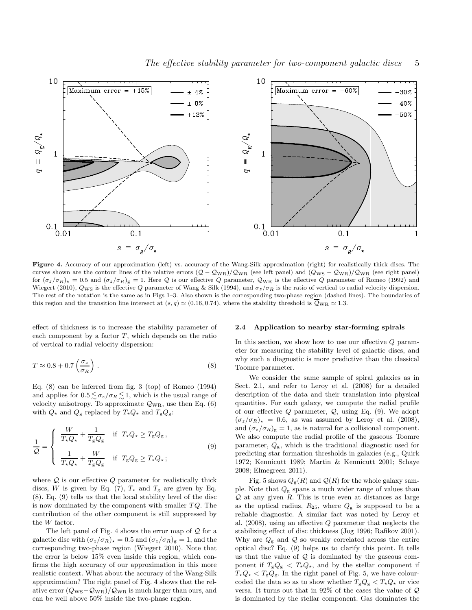

Figure 4. Accuracy of our approximation (left) vs. accuracy of the Wang-Silk approximation (right) for realistically thick discs. The curves shown are the contour lines of the relative errors  $(Q - Q_{\text{WR}})/Q_{\text{WR}}$  (see left panel) and  $(Q_{\text{WS}} - Q_{\text{WR}})/Q_{\text{WR}}$  (see right panel) for  $(\sigma_z/\sigma_R)_* = 0.5$  and  $(\sigma_z/\sigma_R)_{g} = 1$ . Here Q is our effective Q parameter,  $Q_{WR}$  is the effective Q parameter of Romeo (1992) and Wiegert (2010),  $Q_{\text{WS}}$  is the effective Q parameter of Wang & Silk (1994), and  $\sigma_z/\sigma_R$  is the ratio of vertical to radial velocity dispersion. The rest of the notation is the same as in Figs 1–3. Also shown is the corresponding two-phase region (dashed lines). The boundaries of this region and the transition line intersect at  $(s, q) \simeq (0.16, 0.74)$ , where the stability threshold is  $\overline{Q}_{WR} \simeq 1.3$ .

 $\overline{1}$ 

 $0.1$ 

 $0.01$ 

effect of thickness is to increase the stability parameter of each component by a factor  $T$ , which depends on the ratio of vertical to radial velocity dispersion:

 $0.1$ 

 $s = \sigma_{\rm g}/\sigma_{\star}$ 

 $0.1$ 

 $0.01$ 

$$
T \approx 0.8 + 0.7 \left(\frac{\sigma_z}{\sigma_R}\right) \,. \tag{8}
$$

Eq. (8) can be inferred from fig. 3 (top) of Romeo (1994) and applies for  $0.5 \leq \sigma_z/\sigma_R \leq 1$ , which is the usual range of velocity anisotropy. To approximate  $\mathcal{Q}_{WR}$ , use then Eq. (6) with  $Q_{\star}$  and  $Q_{\rm g}$  replaced by  $T_{\star}Q_{\star}$  and  $T_{\rm g}Q_{\rm g}$ :

$$
\frac{1}{Q} = \begin{cases}\n\frac{W}{T_{\star}Q_{\star}} + \frac{1}{T_{g}Q_{g}} & \text{if } T_{\star}Q_{\star} \ge T_{g}Q_{g}, \\
\frac{1}{T_{\star}Q_{\star}} + \frac{W}{T_{g}Q_{g}} & \text{if } T_{g}Q_{g} \ge T_{\star}Q_{\star};\n\end{cases}
$$
\n(9)

where  $Q$  is our effective  $Q$  parameter for realistically thick discs, W is given by Eq. (7),  $T_{\star}$  and  $T_{\rm g}$  are given by Eq. (8). Eq. (9) tells us that the local stability level of the disc is now dominated by the component with smaller  $TQ$ . The contribution of the other component is still suppressed by the W factor.

The left panel of Fig. 4 shows the error map of  $Q$  for a galactic disc with  $(\sigma_z/\sigma_R)_* = 0.5$  and  $(\sigma_z/\sigma_R)_g = 1$ , and the corresponding two-phase region (Wiegert 2010). Note that the error is below 15% even inside this region, which confirms the high accuracy of our approximation in this more realistic context. What about the accuracy of the Wang-Silk approximation? The right panel of Fig. 4 shows that the relative error  $(Q_{\text{WS}}-Q_{\text{WR}})/Q_{\text{WR}}$  is much larger than ours, and can be well above 50% inside the two-phase region.

### 2.4 Application to nearby star-forming spirals

In this section, we show how to use our effective Q parameter for measuring the stability level of galactic discs, and why such a diagnostic is more predictive than the classical Toomre parameter.

 $0.1$ 

 $s = \sigma_{\rm g}/\sigma_{\star}$ 

 $\mathbf{1}$ 

We consider the same sample of spiral galaxies as in Sect. 2.1, and refer to Leroy et al. (2008) for a detailed description of the data and their translation into physical quantities. For each galaxy, we compute the radial profile of our effective  $Q$  parameter,  $Q$ , using Eq. (9). We adopt  $(\sigma_z/\sigma_R)_* = 0.6$ , as was assumed by Leroy et al. (2008), and  $(\sigma_z/\sigma_R)_{\rm g}=1$ , as is natural for a collisional component. We also compute the radial profile of the gaseous Toomre parameter,  $Q_{\rm g}$ , which is the traditional diagnostic used for predicting star formation thresholds in galaxies (e.g., Quirk 1972; Kennicutt 1989; Martin & Kennicutt 2001; Schaye 2008; Elmegreen 2011).

Fig. 5 shows  $Q_{\rm g}(R)$  and  $\mathcal{Q}(R)$  for the whole galaxy sample. Note that  $Q_{\rm g}$  spans a much wider range of values than  $Q$  at any given  $R$ . This is true even at distances as large as the optical radius,  $R_{25}$ , where  $Q_{\rm g}$  is supposed to be a reliable diagnostic. A similar fact was noted by Leroy et al. (2008), using an effective Q parameter that neglects the stabilizing effect of disc thickness (Jog 1996; Rafikov 2001). Why are  $Q_{\rm g}$  and  $\mathcal Q$  so weakly correlated across the entire optical disc? Eq. (9) helps us to clarify this point. It tells us that the value of  $Q$  is dominated by the gaseous component if  $T_{g}Q_{g} \leq T_{\star}Q_{\star}$ , and by the stellar component if  $T_{\star}Q_{\star} < T_{g}Q_{g}$ . In the right panel of Fig. 5, we have colourcoded the data so as to show whether  $T_{g}Q_{g} < T_{\star}Q_{\star}$  or vice versa. It turns out that in 92% of the cases the value of Q is dominated by the stellar component. Gas dominates the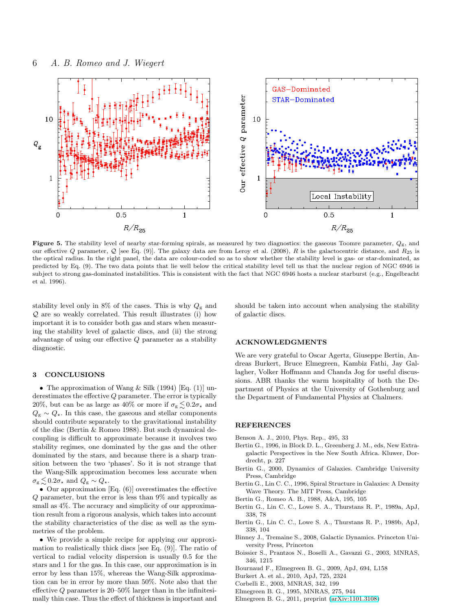

Figure 5. The stability level of nearby star-forming spirals, as measured by two diagnostics: the gaseous Toomre parameter,  $Q_g$ , and our effective Q parameter, Q [see Eq. (9)]. The galaxy data are from Leroy et al. (2008), R is the galactocentric distance, and  $R_{25}$  is the optical radius. In the right panel, the data are colour-coded so as to show whether the stability level is gas- or star-dominated, as predicted by Eq. (9). The two data points that lie well below the critical stability level tell us that the nuclear region of NGC 6946 is subject to strong gas-dominated instabilities. This is consistent with the fact that NGC 6946 hosts a nuclear starburst (e.g., Engelbracht et al. 1996).

stability level only in  $8\%$  of the cases. This is why  $Q_{\rm g}$  and Q are so weakly correlated. This result illustrates (i) how important it is to consider both gas and stars when measuring the stability level of galactic discs, and (ii) the strong advantage of using our effective Q parameter as a stability diagnostic.

## 3 CONCLUSIONS

• The approximation of Wang & Silk (1994) [Eq. (1)] underestimates the effective Q parameter. The error is typically 20%, but can be as large as 40% or more if  $\sigma_{\rm g} \lesssim 0.2\sigma_{\star}$  and  $Q_{\rm g} \sim Q_{\star}$ . In this case, the gaseous and stellar components should contribute separately to the gravitational instability of the disc (Bertin & Romeo 1988). But such dynamical decoupling is difficult to approximate because it involves two stability regimes, one dominated by the gas and the other dominated by the stars, and because there is a sharp transition between the two 'phases'. So it is not strange that the Wang-Silk approximation becomes less accurate when  $\sigma_{\rm g} \lesssim 0.2 \sigma_{\star}$  and  $Q_{\rm g} \sim Q_{\star}$ .

• Our approximation  $[Eq. (6)]$  overestimates the effective Q parameter, but the error is less than 9% and typically as small as  $4\%$ . The accuracy and simplicity of our approximation result from a rigorous analysis, which takes into account the stability characteristics of the disc as well as the symmetries of the problem.

• We provide a simple recipe for applying our approximation to realistically thick discs [see Eq. (9)]. The ratio of vertical to radial velocity dispersion is usually 0.5 for the stars and 1 for the gas. In this case, our approximation is in error by less than 15%, whereas the Wang-Silk approximation can be in error by more than 50%. Note also that the effective  $Q$  parameter is 20–50% larger than in the infinitesimally thin case. Thus the effect of thickness is important and should be taken into account when analysing the stability of galactic discs.

## ACKNOWLEDGMENTS

We are very grateful to Oscar Agertz, Giuseppe Bertin, Andreas Burkert, Bruce Elmegreen, Kambiz Fathi, Jay Gallagher, Volker Hoffmann and Chanda Jog for useful discussions. ABR thanks the warm hospitality of both the Department of Physics at the University of Gothenburg and the Department of Fundamental Physics at Chalmers.

## **REFERENCES**

- Benson A. J., 2010, Phys. Rep., 495, 33
- Bertin G., 1996, in Block D. L., Greenberg J. M., eds, New Extragalactic Perspectives in the New South Africa. Kluwer, Dordrecht, p. 227
- Bertin G., 2000, Dynamics of Galaxies. Cambridge University Press, Cambridge
- Bertin G., Lin C. C., 1996, Spiral Structure in Galaxies: A Density Wave Theory. The MIT Press, Cambridge
- Bertin G., Romeo A. B., 1988, A&A, 195, 105
- Bertin G., Lin C. C., Lowe S. A., Thurstans R. P., 1989a, ApJ, 338, 78
- Bertin G., Lin C. C., Lowe S. A., Thurstans R. P., 1989b, ApJ, 338, 104
- Binney J., Tremaine S., 2008, Galactic Dynamics. Princeton University Press, Princeton
- Boissier S., Prantzos N., Boselli A., Gavazzi G., 2003, MNRAS, 346, 1215
- Bournaud F., Elmegreen B. G., 2009, ApJ, 694, L158
- Burkert A. et al., 2010, ApJ, 725, 2324
- Corbelli E., 2003, MNRAS, 342, 199
- Elmegreen B. G., 1995, MNRAS, 275, 944
- Elmegreen B. G., 2011, preprint [\(arXiv:1101.3108\)](http://arxiv.org/abs/1101.3108)